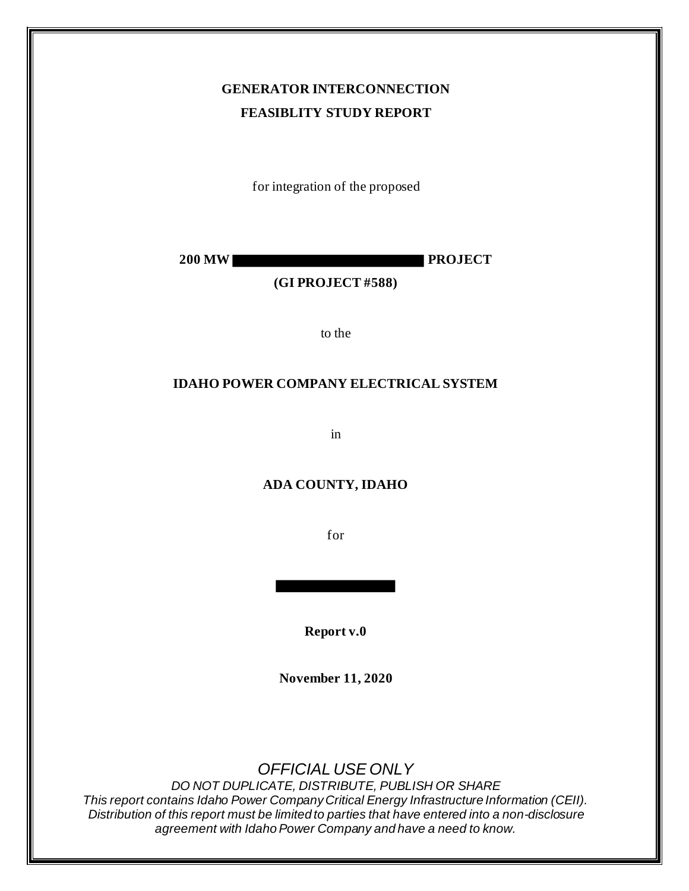# **GENERATOR INTERCONNECTION FEASIBLITY STUDY REPORT**

for integration of the proposed

**200 MW PROJECT**

### **(GI PROJECT #588)**

to the

#### **IDAHO POWER COMPANY ELECTRICAL SYSTEM**

in

### **ADA COUNTY, IDAHO**

for

**Report v.0**

**November 11, 2020**

*OFFICIAL USE ONLY*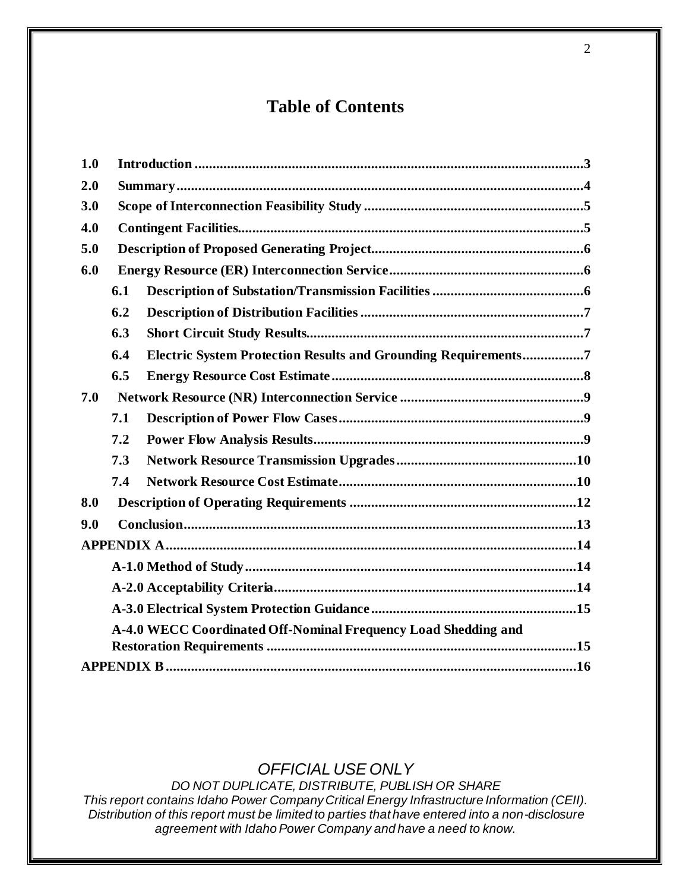# **Table of Contents**

| 1.0 |                                                                |                                                                       |  |  |
|-----|----------------------------------------------------------------|-----------------------------------------------------------------------|--|--|
| 2.0 |                                                                |                                                                       |  |  |
| 3.0 |                                                                |                                                                       |  |  |
| 4.0 |                                                                |                                                                       |  |  |
| 5.0 |                                                                |                                                                       |  |  |
| 6.0 |                                                                |                                                                       |  |  |
|     | 6.1                                                            |                                                                       |  |  |
|     | 6.2                                                            |                                                                       |  |  |
|     | 6.3                                                            |                                                                       |  |  |
|     | 6.4                                                            | <b>Electric System Protection Results and Grounding Requirements7</b> |  |  |
|     | 6.5                                                            |                                                                       |  |  |
| 7.0 |                                                                |                                                                       |  |  |
|     | 7.1                                                            |                                                                       |  |  |
|     | 7.2                                                            |                                                                       |  |  |
|     | 7.3                                                            |                                                                       |  |  |
|     | 7.4                                                            |                                                                       |  |  |
| 8.0 |                                                                |                                                                       |  |  |
| 9.0 |                                                                |                                                                       |  |  |
|     |                                                                |                                                                       |  |  |
|     |                                                                |                                                                       |  |  |
|     |                                                                |                                                                       |  |  |
|     |                                                                |                                                                       |  |  |
|     | A-4.0 WECC Coordinated Off-Nominal Frequency Load Shedding and |                                                                       |  |  |
|     |                                                                |                                                                       |  |  |
|     |                                                                |                                                                       |  |  |

# *OFFICIAL USE ONLY*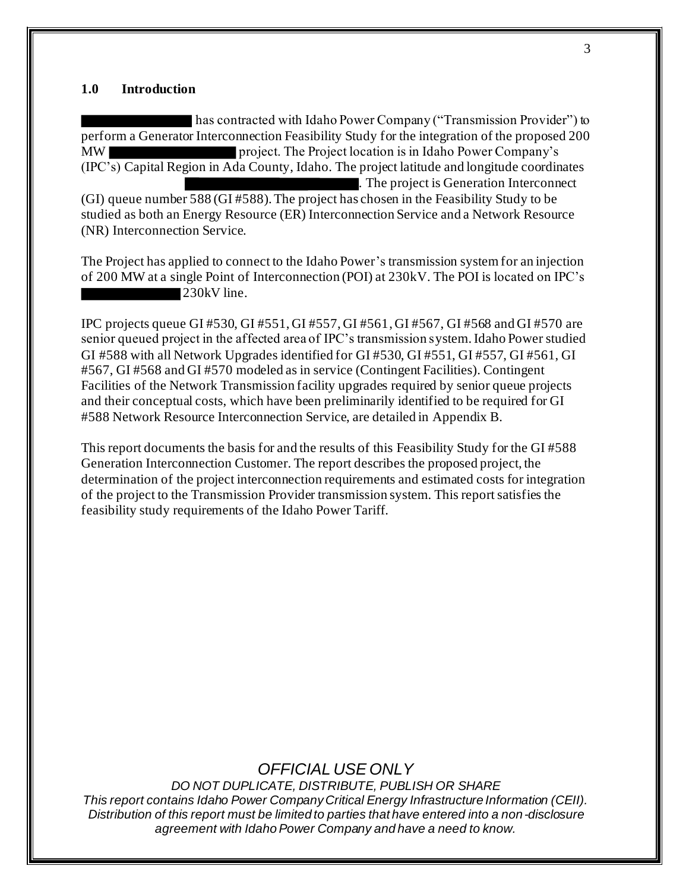#### **1.0 Introduction**

has contracted with Idaho Power Company ("Transmission Provider") to perform a Generator Interconnection Feasibility Study for the integration of the proposed 200 MW project. The Project location is in Idaho Power Company's (IPC's) Capital Region in Ada County, Idaho. The project latitude and longitude coordinates . The project is Generation Interconnect (GI) queue number 588 (GI #588). The project has chosen in the Feasibility Study to be studied as both an Energy Resource (ER) Interconnection Service and a Network Resource (NR) Interconnection Service.

The Project has applied to connect to the Idaho Power's transmission system for an injection of 200 MW at a single Point of Interconnection (POI) at 230kV. The POI is located on IPC's 230kV line.

IPC projects queue GI #530, GI #551, GI #557, GI #561, GI #567, GI #568 and GI #570 are senior queued project in the affected area of IPC's transmission system. Idaho Power studied GI #588 with all Network Upgrades identified for GI #530, GI #551, GI #557, GI #561, GI #567, GI #568 and GI #570 modeled as in service (Contingent Facilities). Contingent Facilities of the Network Transmission facility upgrades required by senior queue projects and their conceptual costs, which have been preliminarily identified to be required for GI #588 Network Resource Interconnection Service, are detailed in Appendix B.

This report documents the basis for and the results of this Feasibility Study for the GI #588 Generation Interconnection Customer. The report describes the proposed project, the determination of the project interconnection requirements and estimated costs for integration of the project to the Transmission Provider transmission system. This report satisfies the feasibility study requirements of the Idaho Power Tariff.

## *OFFICIAL USE ONLY*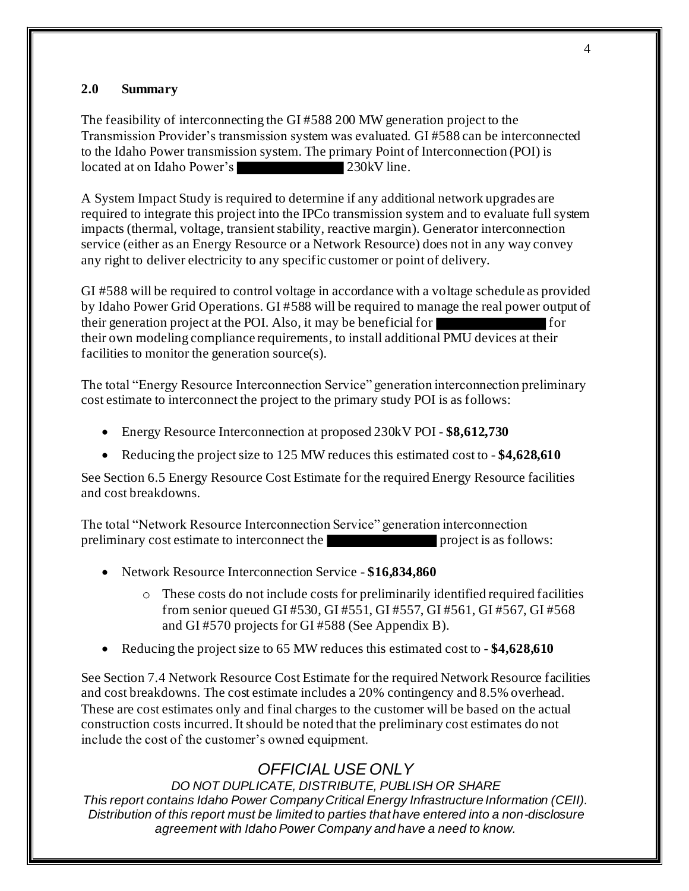### **2.0 Summary**

The feasibility of interconnecting the GI #588 200 MW generation project to the Transmission Provider's transmission system was evaluated. GI #588 can be interconnected to the Idaho Power transmission system. The primary Point of Interconnection (POI) is located at on Idaho Power's 230kV line.

A System Impact Study is required to determine if any additional network upgrades are required to integrate this project into the IPCo transmission system and to evaluate full system impacts (thermal, voltage, transient stability, reactive margin). Generator interconnection service (either as an Energy Resource or a Network Resource) does not in any way convey any right to deliver electricity to any specific customer or point of delivery.

GI #588 will be required to control voltage in accordance with a voltage schedule as provided by Idaho Power Grid Operations. GI #588 will be required to manage the real power output of their generation project at the POI. Also, it may be beneficial for for for their own modeling compliance requirements, to install additional PMU devices at their facilities to monitor the generation source(s).

The total "Energy Resource Interconnection Service" generation interconnection preliminary cost estimate to interconnect the project to the primary study POI is as follows:

- Energy Resource Interconnection at proposed 230kV POI **\$8,612,730**
- Reducing the project size to 125 MW reduces this estimated cost to **\$4,628,610**

See Section 6.5 Energy Resource Cost Estimate for the required Energy Resource facilities and cost breakdowns.

The total "Network Resource Interconnection Service" generation interconnection preliminary cost estimate to interconnect the project is as follows:

- Network Resource Interconnection Service **\$16,834,860**
	- o These costs do not include costs for preliminarily identified required facilities from senior queued GI #530, GI #551, GI #557, GI #561, GI #567, GI #568 and GI #570 projects for GI #588 (See Appendix B).
- Reducing the project size to 65 MW reduces this estimated cost to **\$4,628,610**

See Section 7.4 Network Resource Cost Estimate for the required Network Resource facilities and cost breakdowns. The cost estimate includes a 20% contingency and 8.5% overhead. These are cost estimates only and final charges to the customer will be based on the actual construction costs incurred. It should be noted that the preliminary cost estimates do not include the cost of the customer's owned equipment.

# *OFFICIAL USE ONLY*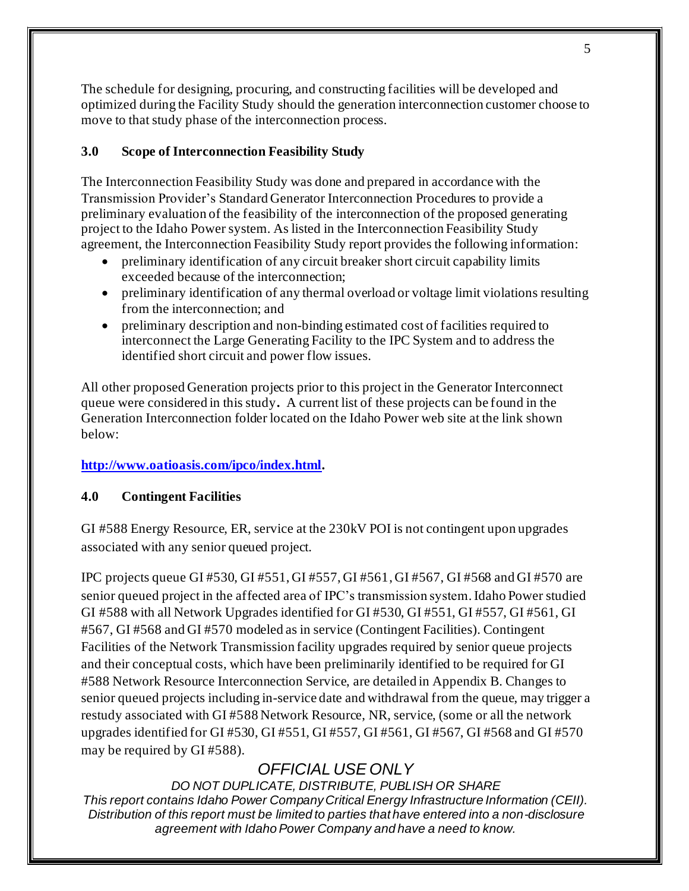The schedule for designing, procuring, and constructing facilities will be developed and optimized during the Facility Study should the generation interconnection customer choose to move to that study phase of the interconnection process.

## **3.0 Scope of Interconnection Feasibility Study**

The Interconnection Feasibility Study was done and prepared in accordance with the Transmission Provider's Standard Generator Interconnection Procedures to provide a preliminary evaluation of the feasibility of the interconnection of the proposed generating project to the Idaho Power system. As listed in the Interconnection Feasibility Study agreement, the Interconnection Feasibility Study report provides the following information:

- preliminary identification of any circuit breaker short circuit capability limits exceeded because of the interconnection;
- preliminary identification of any thermal overload or voltage limit violations resulting from the interconnection; and
- preliminary description and non-binding estimated cost of facilities required to interconnect the Large Generating Facility to the IPC System and to address the identified short circuit and power flow issues.

All other proposed Generation projects prior to this project in the Generator Interconnect queue were considered in this study**.** A current list of these projects can be found in the Generation Interconnection folder located on the Idaho Power web site at the link shown below:

## **http://www.oatioasis.com/ipco/index.html.**

### **4.0 Contingent Facilities**

GI #588 Energy Resource, ER, service at the 230kV POI is not contingent upon upgrades associated with any senior queued project.

IPC projects queue GI #530, GI #551, GI #557, GI #561, GI #567, GI #568 and GI #570 are senior queued project in the affected area of IPC's transmission system. Idaho Power studied GI #588 with all Network Upgrades identified for GI #530, GI #551, GI #557, GI #561, GI #567, GI #568 and GI #570 modeled as in service (Contingent Facilities). Contingent Facilities of the Network Transmission facility upgrades required by senior queue projects and their conceptual costs, which have been preliminarily identified to be required for GI #588 Network Resource Interconnection Service, are detailed in Appendix B. Changes to senior queued projects including in-service date and withdrawal from the queue, may trigger a restudy associated with GI #588 Network Resource, NR, service, (some or all the network upgrades identified for GI #530, GI #551, GI #557, GI #561, GI #567, GI #568 and GI #570 may be required by GI #588).

# *OFFICIAL USE ONLY*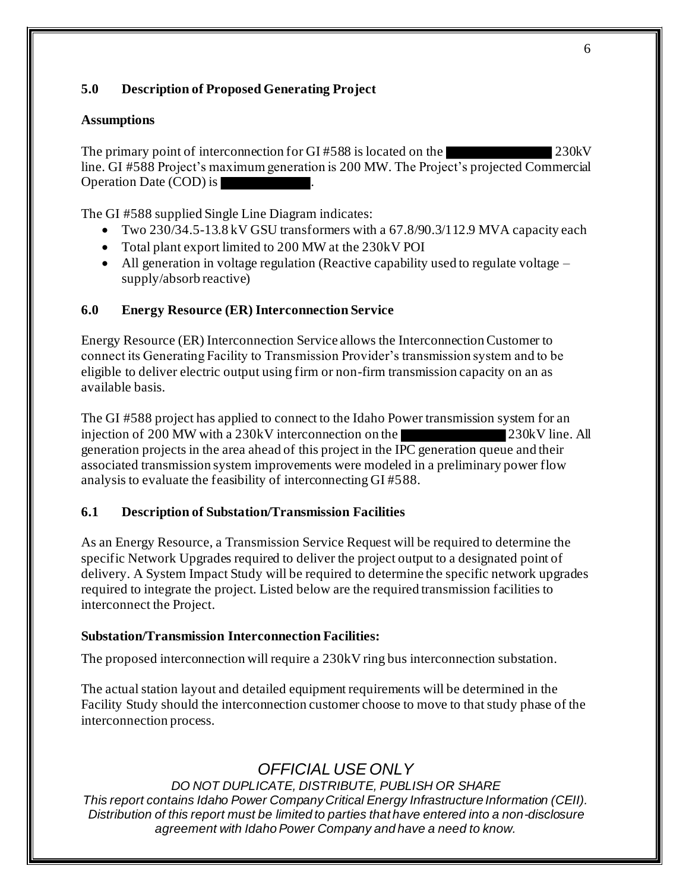## **5.0 Description of Proposed Generating Project**

### **Assumptions**

The primary point of interconnection for GI #588 is located on the 230kV line. GI #588 Project's maximum generation is 200 MW. The Project's projected Commercial Operation Date (COD) is .

The GI #588 supplied Single Line Diagram indicates:

- Two 230/34.5-13.8 kV GSU transformers with a 67.8/90.3/112.9 MVA capacity each
- Total plant export limited to 200 MW at the 230kV POI
- All generation in voltage regulation (Reactive capability used to regulate voltage supply/absorb reactive)

## **6.0 Energy Resource (ER) Interconnection Service**

Energy Resource (ER) Interconnection Service allows the Interconnection Customer to connect its Generating Facility to Transmission Provider's transmission system and to be eligible to deliver electric output using firm or non-firm transmission capacity on an as available basis.

The GI #588 project has applied to connect to the Idaho Power transmission system for an injection of 200 MW with a 230kV interconnection on the 230kV line. All generation projects in the area ahead of this project in the IPC generation queue and their associated transmission system improvements were modeled in a preliminary power flow analysis to evaluate the feasibility of interconnecting GI #588.

## **6.1 Description of Substation/Transmission Facilities**

As an Energy Resource, a Transmission Service Request will be required to determine the specific Network Upgrades required to deliver the project output to a designated point of delivery. A System Impact Study will be required to determine the specific network upgrades required to integrate the project. Listed below are the required transmission facilities to interconnect the Project.

### **Substation/Transmission Interconnection Facilities:**

The proposed interconnection will require a 230kV ring bus interconnection substation.

The actual station layout and detailed equipment requirements will be determined in the Facility Study should the interconnection customer choose to move to that study phase of the interconnection process.

# *OFFICIAL USE ONLY*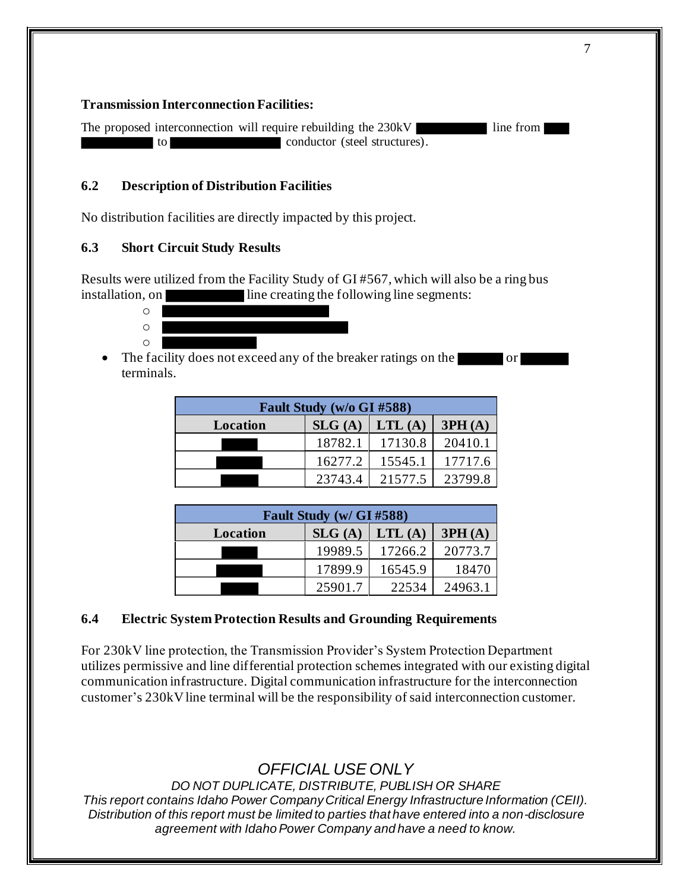#### **Transmission Interconnection Facilities:**

The proposed interconnection will require rebuilding the 230kV line from to conductor (steel structures).

### **6.2 Description of Distribution Facilities**

No distribution facilities are directly impacted by this project.

### **6.3 Short Circuit Study Results**

Results were utilized from the Facility Study of GI #567, which will also be a ring bus installation, on line creating the following line segments:



The facility does not exceed any of the breaker ratings on the or terminals.

| Fault Study (w/o GI #588) |         |                 |         |
|---------------------------|---------|-----------------|---------|
| Location                  | SLG(A)  | $\vert$ LTL (A) | 3PH(A)  |
|                           | 18782.1 | 17130.8         | 20410.1 |
|                           | 16277.2 | 15545.1         | 17717.6 |
|                           | 23743.4 | 21577.5         | 23799.8 |

| Fault Study (w/ GI #588) |         |         |         |
|--------------------------|---------|---------|---------|
| Location                 | SLG(A)  | LTL(A)  | 3PH(A)  |
|                          | 19989.5 | 17266.2 | 20773.7 |
|                          | 17899.9 | 16545.9 | 18470   |
|                          | 25901.7 | 22534   | 24963.1 |

#### **6.4 Electric System Protection Results and Grounding Requirements**

For 230kV line protection, the Transmission Provider's System Protection Department utilizes permissive and line differential protection schemes integrated with our existing digital communication infrastructure. Digital communication infrastructure for the interconnection customer's 230kV line terminal will be the responsibility of said interconnection customer.

# *OFFICIAL USE ONLY*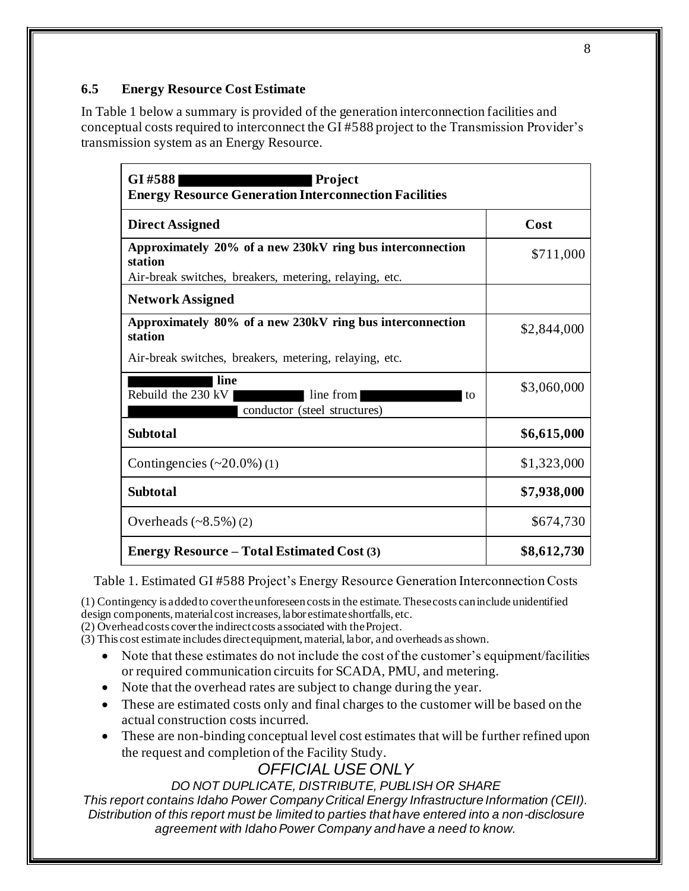## **6.5 Energy Resource Cost Estimate**

In Table 1 below a summary is provided of the generation interconnection facilities and conceptual costs required to interconnect the GI #588 project to the Transmission Provider's transmission system as an Energy Resource.

| GI#588<br><b>Project</b><br><b>Energy Resource Generation Interconnection Facilities</b>                                       |             |  |
|--------------------------------------------------------------------------------------------------------------------------------|-------------|--|
| <b>Direct Assigned</b>                                                                                                         | Cost        |  |
| Approximately 20% of a new 230kV ring bus interconnection<br>station<br>Air-break switches, breakers, metering, relaying, etc. | \$711,000   |  |
| <b>Network Assigned</b>                                                                                                        |             |  |
| Approximately 80% of a new 230kV ring bus interconnection<br>station                                                           | \$2,844,000 |  |
| Air-break switches, breakers, metering, relaying, etc.                                                                         |             |  |
| line<br>Rebuild the 230 kV<br>line from<br>to<br>conductor (steel structures)                                                  | \$3,060,000 |  |
| <b>Subtotal</b>                                                                                                                | \$6,615,000 |  |
| Contingencies $(\sim 20.0\%)$ (1)                                                                                              | \$1,323,000 |  |
| <b>Subtotal</b>                                                                                                                | \$7,938,000 |  |
| Overheads $(*8.5\%)(2)$                                                                                                        | \$674,730   |  |
| <b>Energy Resource – Total Estimated Cost (3)</b>                                                                              | \$8,612,730 |  |

Table 1. Estimated GI #588 Project's Energy Resource Generation Interconnection Costs

(1) Contingency is added to cover the unforeseen costs in the estimate. These costs can include unidentified design components, material cost increases, labor estimate shortfalls, etc.

(2) Overhead costs cover the indirect costs associated with the Project.

- (3) This cost estimate includes direct equipment, material, labor, and overheads as shown.
	- Note that these estimates do not include the cost of the customer's equipment/facilities or required communication circuits for SCADA, PMU, and metering.
	- Note that the overhead rates are subject to change during the year.
	- These are estimated costs only and final charges to the customer will be based on the actual construction costs incurred.
	- These are non-binding conceptual level cost estimates that will be further refined upon the request and completion of the Facility Study.

# *OFFICIAL USE ONLY*

*DO NOT DUPLICATE, DISTRIBUTE, PUBLISH OR SHARE*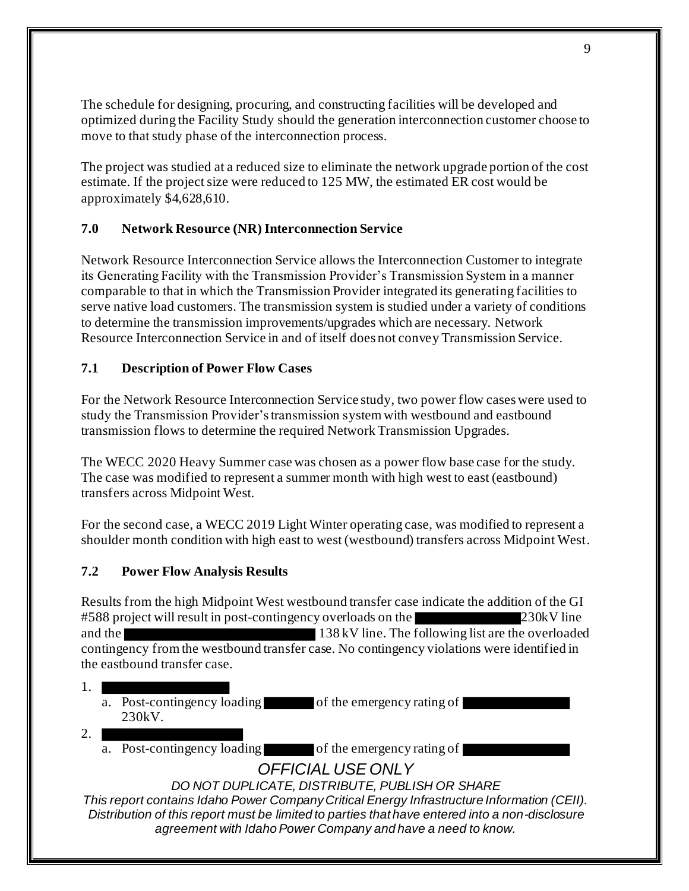The schedule for designing, procuring, and constructing facilities will be developed and optimized during the Facility Study should the generation interconnection customer choose to move to that study phase of the interconnection process.

The project was studied at a reduced size to eliminate the network upgrade portion of the cost estimate. If the project size were reduced to 125 MW, the estimated ER cost would be approximately \$4,628,610.

## **7.0 Network Resource (NR) Interconnection Service**

Network Resource Interconnection Service allows the Interconnection Customer to integrate its Generating Facility with the Transmission Provider's Transmission System in a manner comparable to that in which the Transmission Provider integrated its generating facilities to serve native load customers. The transmission system is studied under a variety of conditions to determine the transmission improvements/upgrades which are necessary. Network Resource Interconnection Service in and of itself does not convey Transmission Service.

### **7.1 Description of Power Flow Cases**

For the Network Resource Interconnection Service study, two power flow cases were used to study the Transmission Provider's transmission system with westbound and eastbound transmission flows to determine the required Network Transmission Upgrades.

The WECC 2020 Heavy Summer case was chosen as a power flow base case for the study. The case was modified to represent a summer month with high west to east (eastbound) transfers across Midpoint West.

For the second case, a WECC 2019 Light Winter operating case, was modified to represent a shoulder month condition with high east to west (westbound) transfers across Midpoint West.

#### **7.2 Power Flow Analysis Results**

Results from the high Midpoint West westbound transfer case indicate the addition of the GI #588 project will result in post-contingency overloads on the 230kV line and the 138 kV line. The following list are the overloaded contingency from the westbound transfer case. No contingency violations were identified in the eastbound transfer case.

- 1.
	- a. Post-contingency loading of the emergency rating of 230kV.
- 2.
	- a. Post-contingency loading of the emergency rating of

# *OFFICIAL USE ONLY*

*DO NOT DUPLICATE, DISTRIBUTE, PUBLISH OR SHARE*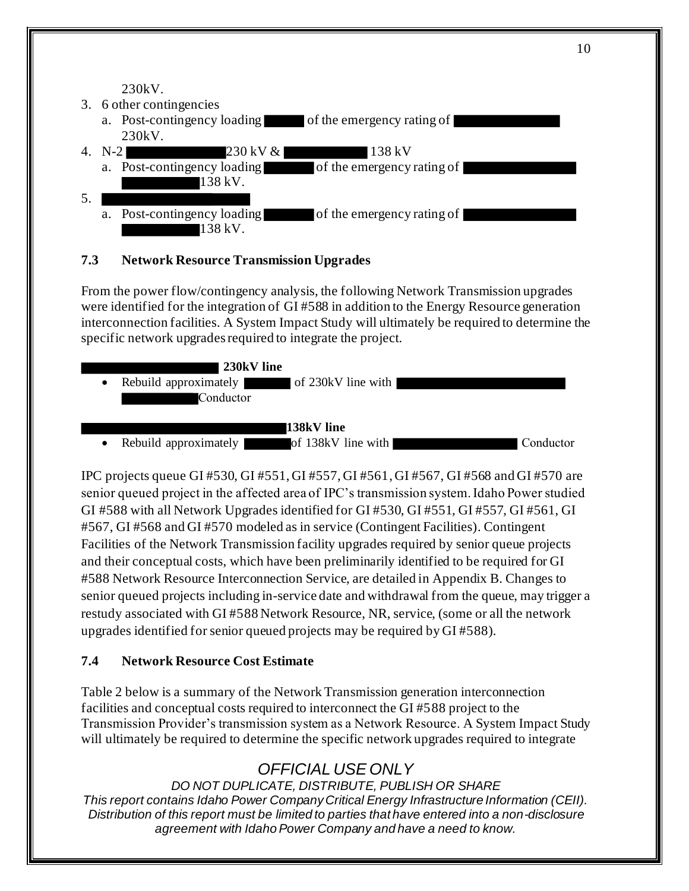230kV.

- 3. 6 other contingencies
	- a. Post-contingency loading of the emergency rating of 230kV.
- 4. N-2 230 kV & 138 kV
	- a. Post-contingency loading of the emergency rating of 138 kV.
- 5.
	- a. Post-contingency loading of the emergency rating of  $138$  kV.

### **7.3 Network Resource Transmission Upgrades**

From the power flow/contingency analysis, the following Network Transmission upgrades were identified for the integration of GI #588 in addition to the Energy Resource generation interconnection facilities. A System Impact Study will ultimately be required to determine the specific network upgrades required to integrate the project.



IPC projects queue GI #530, GI #551, GI #557, GI #561, GI #567, GI #568 and GI #570 are senior queued project in the affected area of IPC's transmission system. Idaho Power studied GI #588 with all Network Upgrades identified for GI #530, GI #551, GI #557, GI #561, GI #567, GI #568 and GI #570 modeled as in service (Contingent Facilities). Contingent Facilities of the Network Transmission facility upgrades required by senior queue projects and their conceptual costs, which have been preliminarily identified to be required for GI #588 Network Resource Interconnection Service, are detailed in Appendix B. Changes to senior queued projects including in-service date and withdrawal from the queue, may trigger a restudy associated with GI #588 Network Resource, NR, service, (some or all the network upgrades identified for senior queued projects may be required by GI #588).

### **7.4 Network Resource Cost Estimate**

Table 2 below is a summary of the Network Transmission generation interconnection facilities and conceptual costs required to interconnect the GI #588 project to the Transmission Provider's transmission system as a Network Resource. A System Impact Study will ultimately be required to determine the specific network upgrades required to integrate

# *OFFICIAL USE ONLY*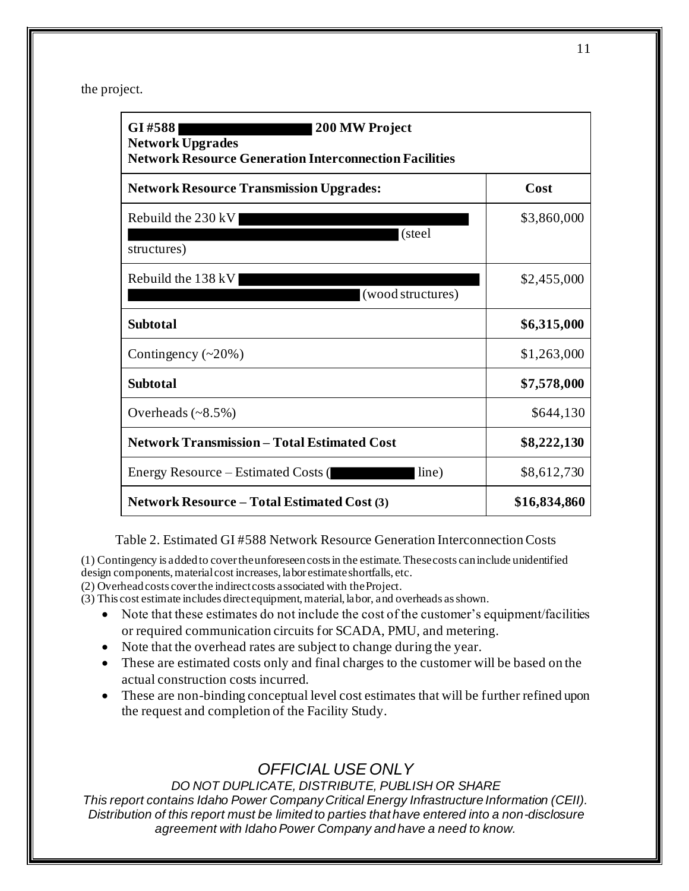the project.

| GI #588 <br><b>200 MW Project</b><br><b>Network Upgrades</b><br><b>Network Resource Generation Interconnection Facilities</b> |              |  |  |
|-------------------------------------------------------------------------------------------------------------------------------|--------------|--|--|
| <b>Network Resource Transmission Upgrades:</b>                                                                                | Cost         |  |  |
| Rebuild the $230 \, \text{kV}$                                                                                                | \$3,860,000  |  |  |
| (steel<br>structures)                                                                                                         |              |  |  |
| Rebuild the 138 kV                                                                                                            | \$2,455,000  |  |  |
| (wood structures)                                                                                                             |              |  |  |
| <b>Subtotal</b>                                                                                                               | \$6,315,000  |  |  |
| Contingency $(\sim 20\%)$                                                                                                     | \$1,263,000  |  |  |
| <b>Subtotal</b>                                                                                                               | \$7,578,000  |  |  |
| Overheads $(\sim 8.5\%)$                                                                                                      | \$644,130    |  |  |
| <b>Network Transmission - Total Estimated Cost</b>                                                                            | \$8,222,130  |  |  |
| Energy Resource – Estimated Costs (<br>line)                                                                                  | \$8,612,730  |  |  |
| <b>Network Resource – Total Estimated Cost (3)</b>                                                                            | \$16,834,860 |  |  |

Table 2. Estimated GI #588 Network Resource Generation Interconnection Costs

(1) Contingency is added to cover the unforeseen costs in the estimate. These costs can include unidentified design components, material cost increases, labor estimate shortfalls, etc.

(2) Overhead costs cover the indirect costs associated with the Project.

(3) This cost estimate includes direct equipment, material, labor, and overheads as shown.

- Note that these estimates do not include the cost of the customer's equipment/facilities or required communication circuits for SCADA, PMU, and metering.
- Note that the overhead rates are subject to change during the year.
- These are estimated costs only and final charges to the customer will be based on the actual construction costs incurred.
- These are non-binding conceptual level cost estimates that will be further refined upon the request and completion of the Facility Study.

# *OFFICIAL USE ONLY*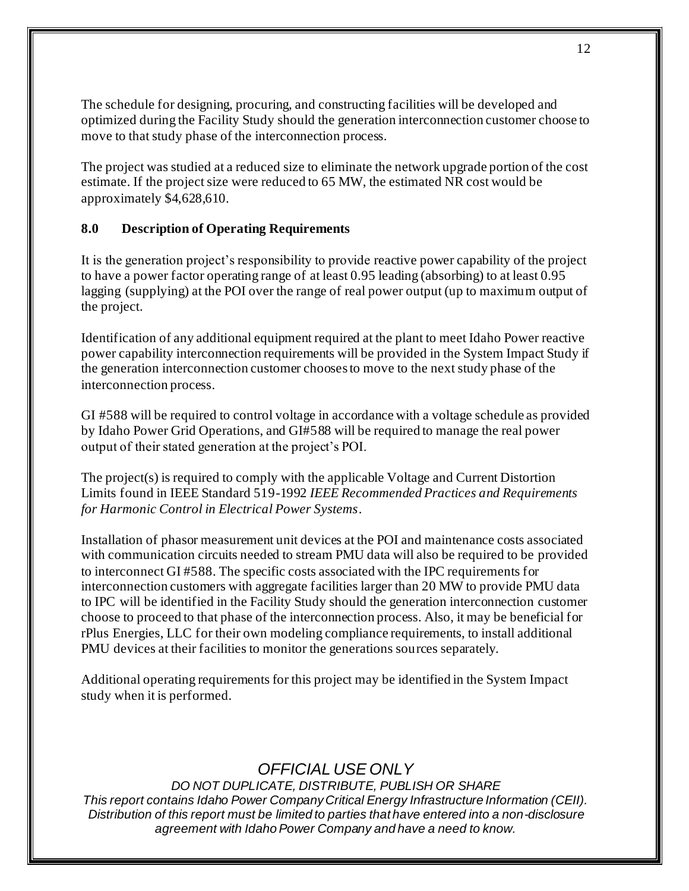The schedule for designing, procuring, and constructing facilities will be developed and optimized during the Facility Study should the generation interconnection customer choose to move to that study phase of the interconnection process.

The project was studied at a reduced size to eliminate the network upgrade portion of the cost estimate. If the project size were reduced to 65 MW, the estimated NR cost would be approximately \$4,628,610.

### **8.0 Description of Operating Requirements**

It is the generation project's responsibility to provide reactive power capability of the project to have a power factor operating range of at least 0.95 leading (absorbing) to at least 0.95 lagging (supplying) at the POI over the range of real power output (up to maximum output of the project.

Identification of any additional equipment required at the plant to meet Idaho Power reactive power capability interconnection requirements will be provided in the System Impact Study if the generation interconnection customer choosesto move to the next study phase of the interconnection process.

GI #588 will be required to control voltage in accordance with a voltage schedule as provided by Idaho Power Grid Operations, and GI#588 will be required to manage the real power output of their stated generation at the project's POI.

The project(s) is required to comply with the applicable Voltage and Current Distortion Limits found in IEEE Standard 519-1992 *IEEE Recommended Practices and Requirements for Harmonic Control in Electrical Power Systems*.

Installation of phasor measurement unit devices at the POI and maintenance costs associated with communication circuits needed to stream PMU data will also be required to be provided to interconnect GI #588. The specific costs associated with the IPC requirements for interconnection customers with aggregate facilities larger than 20 MW to provide PMU data to IPC will be identified in the Facility Study should the generation interconnection customer choose to proceed to that phase of the interconnection process. Also, it may be beneficial for rPlus Energies, LLC for their own modeling compliance requirements, to install additional PMU devices at their facilities to monitor the generations sources separately.

Additional operating requirements for this project may be identified in the System Impact study when it is performed.

# *OFFICIAL USE ONLY*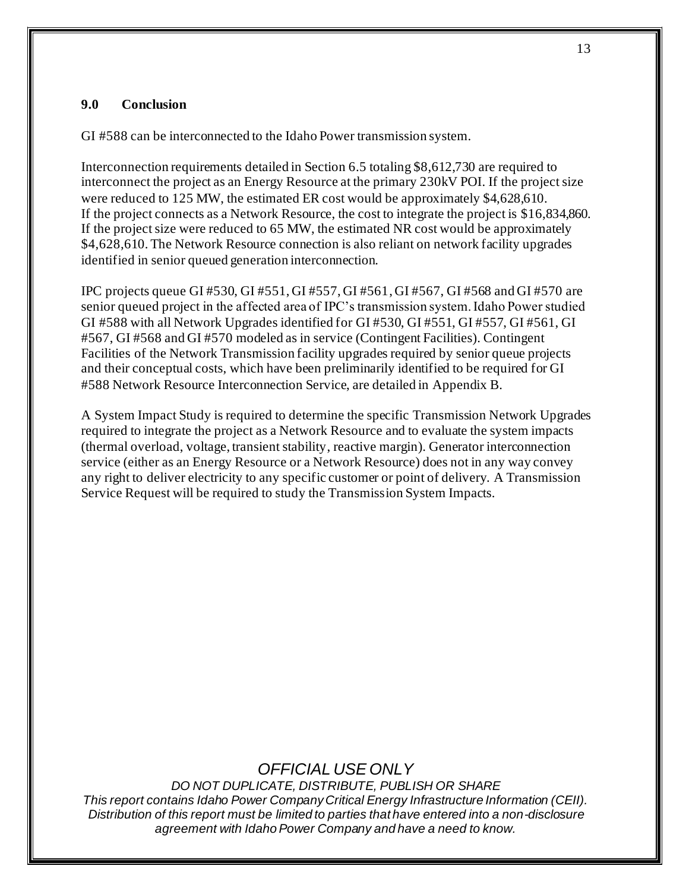#### **9.0 Conclusion**

GI #588 can be interconnected to the Idaho Power transmission system.

Interconnection requirements detailed in Section 6.5 totaling \$8,612,730 are required to interconnect the project as an Energy Resource at the primary 230kV POI. If the project size were reduced to 125 MW, the estimated ER cost would be approximately \$4,628,610. If the project connects as a Network Resource, the cost to integrate the project is \$16,834,860. If the project size were reduced to 65 MW, the estimated NR cost would be approximately \$4,628,610. The Network Resource connection is also reliant on network facility upgrades identified in senior queued generation interconnection.

IPC projects queue GI #530, GI #551, GI #557, GI #561, GI #567, GI #568 and GI #570 are senior queued project in the affected area of IPC's transmission system. Idaho Power studied GI #588 with all Network Upgrades identified for GI #530, GI #551, GI #557, GI #561, GI #567, GI #568 and GI #570 modeled as in service (Contingent Facilities). Contingent Facilities of the Network Transmission facility upgrades required by senior queue projects and their conceptual costs, which have been preliminarily identified to be required for GI #588 Network Resource Interconnection Service, are detailed in Appendix B.

A System Impact Study is required to determine the specific Transmission Network Upgrades required to integrate the project as a Network Resource and to evaluate the system impacts (thermal overload, voltage, transient stability, reactive margin). Generator interconnection service (either as an Energy Resource or a Network Resource) does not in any way convey any right to deliver electricity to any specific customer or point of delivery. A Transmission Service Request will be required to study the Transmission System Impacts.

# *OFFICIAL USE ONLY*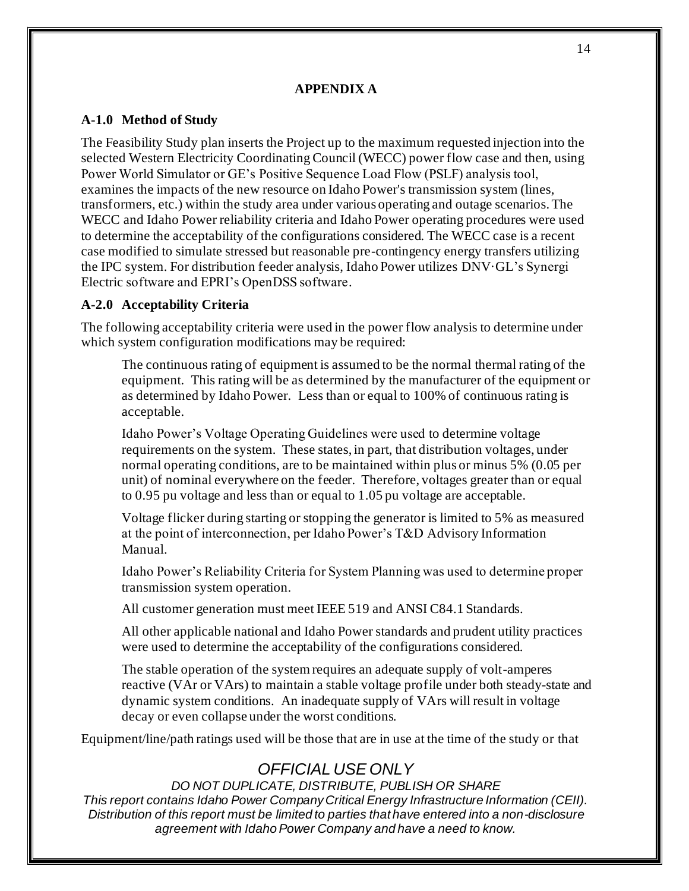#### **APPENDIX A**

#### **A-1.0 Method of Study**

The Feasibility Study plan inserts the Project up to the maximum requested injection into the selected Western Electricity Coordinating Council (WECC) power flow case and then, using Power World Simulator or GE's Positive Sequence Load Flow (PSLF) analysis tool, examines the impacts of the new resource on Idaho Power's transmission system (lines, transformers, etc.) within the study area under various operating and outage scenarios. The WECC and Idaho Power reliability criteria and Idaho Power operating procedures were used to determine the acceptability of the configurations considered. The WECC case is a recent case modified to simulate stressed but reasonable pre-contingency energy transfers utilizing the IPC system. For distribution feeder analysis, Idaho Power utilizes DNV·GL's Synergi Electric software and EPRI's OpenDSS software.

#### **A-2.0 Acceptability Criteria**

The following acceptability criteria were used in the power flow analysis to determine under which system configuration modifications may be required:

The continuous rating of equipment is assumed to be the normal thermal rating of the equipment. This rating will be as determined by the manufacturer of the equipment or as determined by Idaho Power. Less than or equal to 100% of continuous rating is acceptable.

Idaho Power's Voltage Operating Guidelines were used to determine voltage requirements on the system. These states, in part, that distribution voltages, under normal operating conditions, are to be maintained within plus or minus 5% (0.05 per unit) of nominal everywhere on the feeder. Therefore, voltages greater than or equal to 0.95 pu voltage and less than or equal to 1.05 pu voltage are acceptable.

Voltage flicker during starting or stopping the generator is limited to 5% as measured at the point of interconnection, per Idaho Power's T&D Advisory Information Manual.

Idaho Power's Reliability Criteria for System Planning was used to determine proper transmission system operation.

All customer generation must meet IEEE 519 and ANSI C84.1 Standards.

All other applicable national and Idaho Power standards and prudent utility practices were used to determine the acceptability of the configurations considered.

The stable operation of the system requires an adequate supply of volt-amperes reactive (VAr or VArs) to maintain a stable voltage profile under both steady-state and dynamic system conditions. An inadequate supply of VArs will result in voltage decay or even collapse under the worst conditions.

Equipment/line/path ratings used will be those that are in use at the time of the study or that

# *OFFICIAL USE ONLY*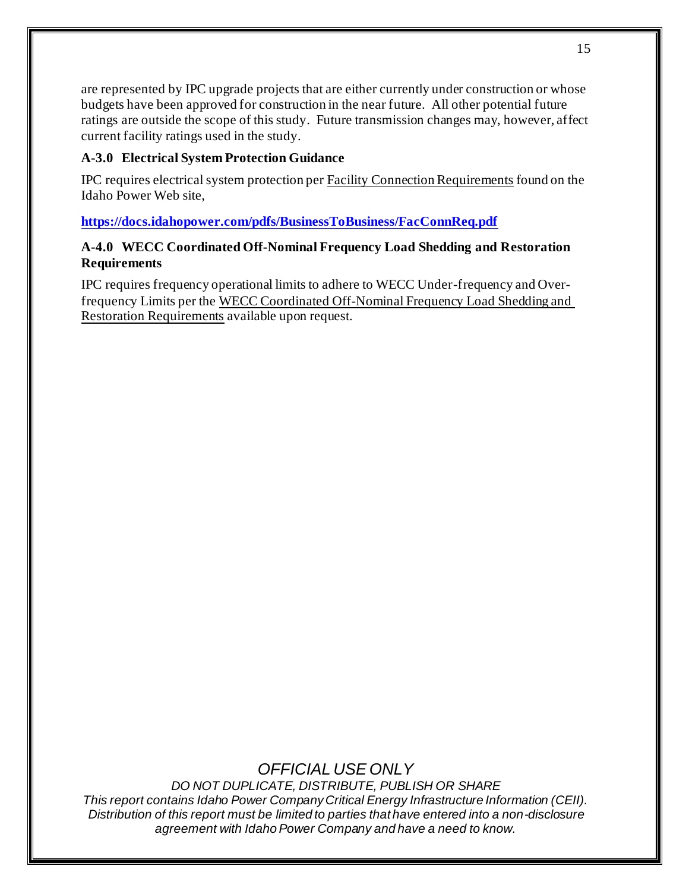are represented by IPC upgrade projects that are either currently under construction or whose budgets have been approved for construction in the near future. All other potential future ratings are outside the scope of this study. Future transmission changes may, however, affect current facility ratings used in the study.

### **A-3.0 Electrical System Protection Guidance**

IPC requires electrical system protection per Facility Connection Requirements found on the Idaho Power Web site,

**https://docs.idahopower.com/pdfs/BusinessToBusiness/FacConnReq.pdf**

### **A-4.0 WECC Coordinated Off-Nominal Frequency Load Shedding and Restoration Requirements**

IPC requires frequency operational limits to adhere to WECC Under-frequency and Overfrequency Limits per the WECC Coordinated Off-Nominal Frequency Load Shedding and Restoration Requirements available upon request.

# *OFFICIAL USE ONLY*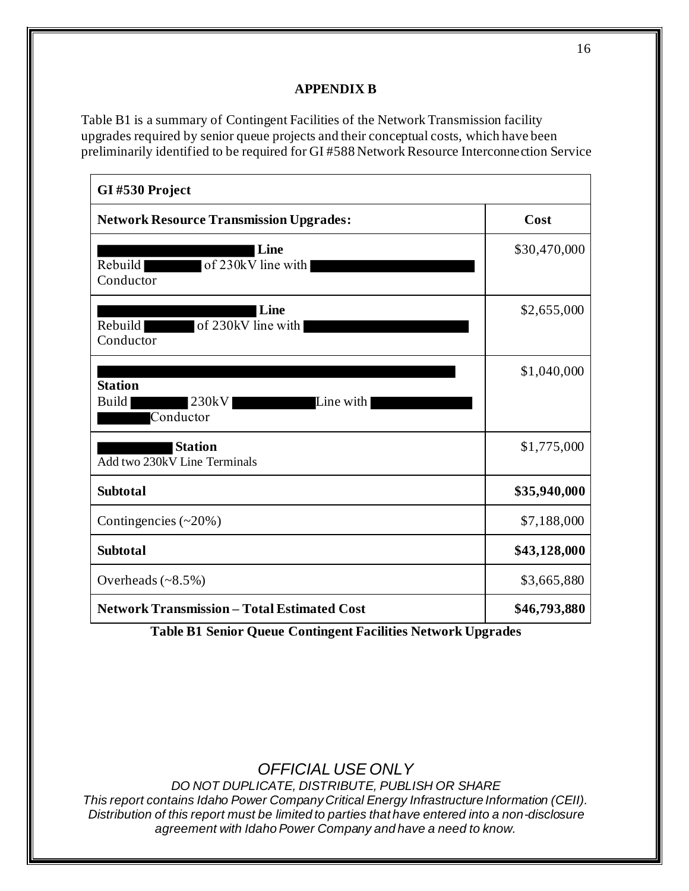### **APPENDIX B**

Table B1 is a summary of Contingent Facilities of the Network Transmission facility upgrades required by senior queue projects and their conceptual costs, which have been preliminarily identified to be required for GI #588 Network Resource Interconnection Service

| GI#530 Project                                             |              |  |
|------------------------------------------------------------|--------------|--|
| <b>Network Resource Transmission Upgrades:</b>             | Cost         |  |
| Line<br>of 230kV line with<br>Rebuild<br>Conductor         | \$30,470,000 |  |
| Line<br>Rebuild<br>of 230kV line with<br>Conductor         | \$2,655,000  |  |
| <b>Station</b><br>230kV<br>Build<br>Line with<br>Conductor | \$1,040,000  |  |
| <b>Station</b><br>Add two 230kV Line Terminals             | \$1,775,000  |  |
| <b>Subtotal</b>                                            | \$35,940,000 |  |
| Contingencies $(\sim 20\%)$                                | \$7,188,000  |  |
| <b>Subtotal</b>                                            | \$43,128,000 |  |
| Overheads $(\sim 8.5\%)$                                   | \$3,665,880  |  |
| <b>Network Transmission - Total Estimated Cost</b>         | \$46,793,880 |  |

**Table B1 Senior Queue Contingent Facilities Network Upgrades**

*OFFICIAL USE ONLY*